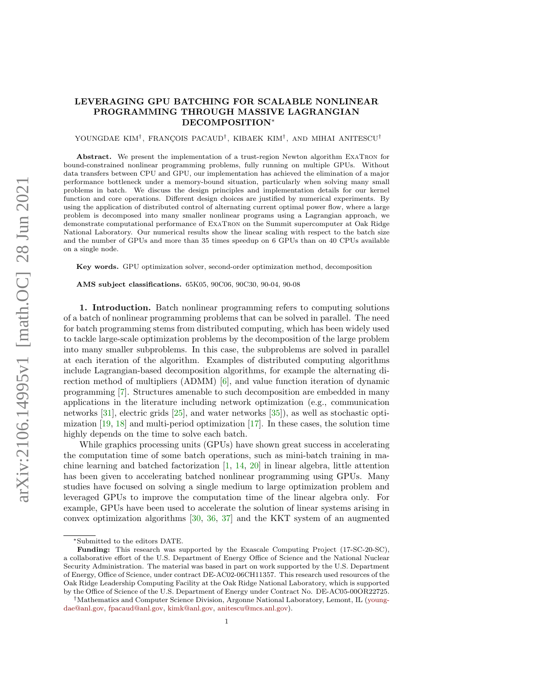## LEVERAGING GPU BATCHING FOR SCALABLE NONLINEAR PROGRAMMING THROUGH MASSIVE LAGRANGIAN DECOMPOSITION<sup>∗</sup>

YOUNGDAE KIM<sup>†</sup>, FRANÇOIS PACAUD<sup>†</sup>, KIBAEK KIM<sup>†</sup>, AND MIHAI ANITESCU<sup>†</sup>

Abstract. We present the implementation of a trust-region Newton algorithm ExaTron for bound-constrained nonlinear programming problems, fully running on multiple GPUs. Without data transfers between CPU and GPU, our implementation has achieved the elimination of a major performance bottleneck under a memory-bound situation, particularly when solving many small problems in batch. We discuss the design principles and implementation details for our kernel function and core operations. Different design choices are justified by numerical experiments. By using the application of distributed control of alternating current optimal power flow, where a large problem is decomposed into many smaller nonlinear programs using a Lagrangian approach, we demonstrate computational performance of ExaTron on the Summit supercomputer at Oak Ridge National Laboratory. Our numerical results show the linear scaling with respect to the batch size and the number of GPUs and more than 35 times speedup on 6 GPUs than on 40 CPUs available on a single node.

Key words. GPU optimization solver, second-order optimization method, decomposition

AMS subject classifications. 65K05, 90C06, 90C30, 90-04, 90-08

1. Introduction. Batch nonlinear programming refers to computing solutions of a batch of nonlinear programming problems that can be solved in parallel. The need for batch programming stems from distributed computing, which has been widely used to tackle large-scale optimization problems by the decomposition of the large problem into many smaller subproblems. In this case, the subproblems are solved in parallel at each iteration of the algorithm. Examples of distributed computing algorithms include Lagrangian-based decomposition algorithms, for example the alternating direction method of multipliers (ADMM) [\[6\]](#page-18-0), and value function iteration of dynamic programming [\[7\]](#page-18-1). Structures amenable to such decomposition are embedded in many applications in the literature including network optimization (e.g., communication networks [\[31\]](#page-19-0), electric grids [\[25\]](#page-19-1), and water networks [\[35\]](#page-19-2)), as well as stochastic optimization  $[19, 18]$  $[19, 18]$  $[19, 18]$  and multi-period optimization  $[17]$ . In these cases, the solution time highly depends on the time to solve each batch.

While graphics processing units (GPUs) have shown great success in accelerating the computation time of some batch operations, such as mini-batch training in machine learning and batched factorization [\[1,](#page-18-5) [14,](#page-18-6) [20\]](#page-18-7) in linear algebra, little attention has been given to accelerating batched nonlinear programming using GPUs. Many studies have focused on solving a single medium to large optimization problem and leveraged GPUs to improve the computation time of the linear algebra only. For example, GPUs have been used to accelerate the solution of linear systems arising in convex optimization algorithms [\[30,](#page-19-3) [36,](#page-19-4) [37\]](#page-19-5) and the KKT system of an augmented

<sup>∗</sup>Submitted to the editors DATE.

Funding: This research was supported by the Exascale Computing Project (17-SC-20-SC), a collaborative effort of the U.S. Department of Energy Office of Science and the National Nuclear Security Administration. The material was based in part on work supported by the U.S. Department of Energy, Office of Science, under contract DE-AC02-06CH11357. This research used resources of the Oak Ridge Leadership Computing Facility at the Oak Ridge National Laboratory, which is supported by the Office of Science of the U.S. Department of Energy under Contract No. DE-AC05-00OR22725.

<sup>†</sup>Mathematics and Computer Science Division, Argonne National Laboratory, Lemont, IL [\(young](mailto:youngdae@anl.gov)[dae@anl.gov,](mailto:youngdae@anl.gov) [fpacaud@anl.gov,](mailto:fpacaud@anl.gov) [kimk@anl.gov,](mailto:kimk@anl.gov) [anitescu@mcs.anl.gov\)](mailto:anitescu@mcs.anl.gov).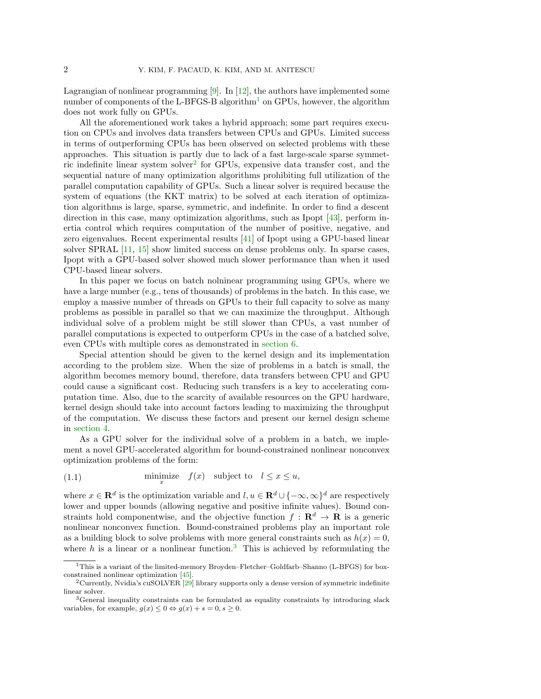Lagrangian of nonlinear programming [\[9\]](#page-18-8). In [\[12\]](#page-18-9), the authors have implemented some number of components of the L-BFGS-B algorithm<sup>[1](#page-1-0)</sup> on GPUs, however, the algorithm does not work fully on GPUs.

All the aforementioned work takes a hybrid approach; some part requires execution on CPUs and involves data transfers between CPUs and GPUs. Limited success in terms of outperforming CPUs has been observed on selected problems with these approaches. This situation is partly due to lack of a fast large-scale sparse symmet-ric indefinite linear system solver<sup>[2](#page-1-1)</sup> for GPUs, expensive data transfer cost, and the sequential nature of many optimization algorithms prohibiting full utilization of the parallel computation capability of GPUs. Such a linear solver is required because the system of equations (the KKT matrix) to be solved at each iteration of optimization algorithms is large, sparse, symmetric, and indefinite. In order to find a descent direction in this case, many optimization algorithms, such as Ipopt [\[43\]](#page-20-0), perform inertia control which requires computation of the number of positive, negative, and zero eigenvalues. Recent experimental results [\[41\]](#page-19-6) of Ipopt using a GPU-based linear solver SPRAL [\[11,](#page-18-10) [15\]](#page-18-11) show limited success on dense problems only. In sparse cases, Ipopt with a GPU-based solver showed much slower performance than when it used CPU-based linear solvers.

In this paper we focus on batch nolninear programming using GPUs, where we have a large number (e.g., tens of thousands) of problems in the batch. In this case, we employ a massive number of threads on GPUs to their full capacity to solve as many problems as possible in parallel so that we can maximize the throughput. Although individual solve of a problem might be still slower than CPUs, a vast number of parallel computations is expected to outperform CPUs in the case of a batched solve, even CPUs with multiple cores as demonstrated in [section 6.](#page-11-0)

Special attention should be given to the kernel design and its implementation according to the problem size. When the size of problems in a batch is small, the algorithm becomes memory bound, therefore, data transfers between CPU and GPU could cause a significant cost. Reducing such transfers is a key to accelerating computation time. Also, due to the scarcity of available resources on the GPU hardware, kernel design should take into account factors leading to maximizing the throughput of the computation. We discuss these factors and present our kernel design scheme in [section 4.](#page-5-0)

As a GPU solver for the individual solve of a problem in a batch, we implement a novel GPU-accelerated algorithm for bound-constrained nonlinear nonconvex optimization problems of the form:

<span id="page-1-3"></span>(1.1) 
$$
\min_{x} \text{imize } f(x) \text{ subject to } l \leq x \leq u,
$$

where  $x \in \mathbf{R}^d$  is the optimization variable and  $l, u \in \mathbf{R}^d \cup \{-\infty, \infty\}^d$  are respectively lower and upper bounds (allowing negative and positive infinite values). Bound constraints hold componentwise, and the objective function  $f : \mathbf{R}^d \to \mathbf{R}$  is a generic nonlinear nonconvex function. Bound-constrained problems play an important role as a building block to solve problems with more general constraints such as  $h(x) = 0$ , where h is a linear or a nonlinear function.<sup>[3](#page-1-2)</sup> This is achieved by reformulating the

<span id="page-1-0"></span><sup>1</sup>This is a variant of the limited-memory Broyden–Fletcher–Goldfarb–Shanno (L-BFGS) for boxconstrained nonlinear optimization [\[45\]](#page-20-1).

<span id="page-1-1"></span> $2$ Currently, Nvidia's cuSOLVER  $[29]$  library supports only a dense version of symmetric indefinite linear solver.

<span id="page-1-2"></span><sup>3</sup>General inequality constraints can be formulated as equality constraints by introducing slack variables, for example,  $g(x) \leq 0 \Leftrightarrow g(x) + s = 0, s \geq 0$ .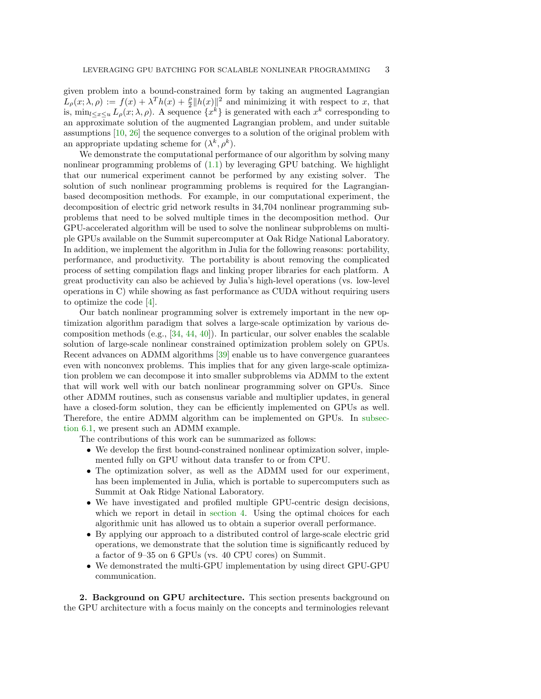given problem into a bound-constrained form by taking an augmented Lagrangian  $L_{\rho}(x; \lambda, \rho) := f(x) + \lambda^{T} h(x) + \frac{\rho}{2} ||h(x)||^{2}$  and minimizing it with respect to x, that is,  $\min_{l \leq x \leq u} L_{\rho}(x; \lambda, \rho)$ . A sequence  $\{x^k\}$  is generated with each  $x^k$  corresponding to an approximate solution of the augmented Lagrangian problem, and under suitable assumptions [\[10,](#page-18-12) [26\]](#page-19-8) the sequence converges to a solution of the original problem with an appropriate updating scheme for  $(\lambda^k, \rho^k)$ .

We demonstrate the computational performance of our algorithm by solving many nonlinear programming problems of  $(1.1)$  by leveraging GPU batching. We highlight that our numerical experiment cannot be performed by any existing solver. The solution of such nonlinear programming problems is required for the Lagrangianbased decomposition methods. For example, in our computational experiment, the decomposition of electric grid network results in 34,704 nonlinear programming subproblems that need to be solved multiple times in the decomposition method. Our GPU-accelerated algorithm will be used to solve the nonlinear subproblems on multiple GPUs available on the Summit supercomputer at Oak Ridge National Laboratory. In addition, we implement the algorithm in Julia for the following reasons: portability, performance, and productivity. The portability is about removing the complicated process of setting compilation flags and linking proper libraries for each platform. A great productivity can also be achieved by Julia's high-level operations (vs. low-level operations in C) while showing as fast performance as CUDA without requiring users to optimize the code [\[4\]](#page-18-13).

Our batch nonlinear programming solver is extremely important in the new optimization algorithm paradigm that solves a large-scale optimization by various decomposition methods (e.g., [\[34,](#page-19-9) [44,](#page-20-2) [40\]](#page-19-10)). In particular, our solver enables the scalable solution of large-scale nonlinear constrained optimization problem solely on GPUs. Recent advances on ADMM algorithms [\[39\]](#page-19-11) enable us to have convergence guarantees even with nonconvex problems. This implies that for any given large-scale optimization problem we can decompose it into smaller subproblems via ADMM to the extent that will work well with our batch nonlinear programming solver on GPUs. Since other ADMM routines, such as consensus variable and multiplier updates, in general have a closed-form solution, they can be efficiently implemented on GPUs as well. Therefore, the entire ADMM algorithm can be implemented on GPUs. In [subsec](#page-11-1)[tion 6.1,](#page-11-1) we present such an ADMM example.

The contributions of this work can be summarized as follows:

- We develop the first bound-constrained nonlinear optimization solver, implemented fully on GPU without data transfer to or from CPU.
- The optimization solver, as well as the ADMM used for our experiment, has been implemented in Julia, which is portable to supercomputers such as Summit at Oak Ridge National Laboratory.
- We have investigated and profiled multiple GPU-centric design decisions, which we report in detail in [section 4.](#page-5-0) Using the optimal choices for each algorithmic unit has allowed us to obtain a superior overall performance.
- By applying our approach to a distributed control of large-scale electric grid operations, we demonstrate that the solution time is significantly reduced by a factor of 9–35 on 6 GPUs (vs. 40 CPU cores) on Summit.
- We demonstrated the multi-GPU implementation by using direct GPU-GPU communication.

2. Background on GPU architecture. This section presents background on the GPU architecture with a focus mainly on the concepts and terminologies relevant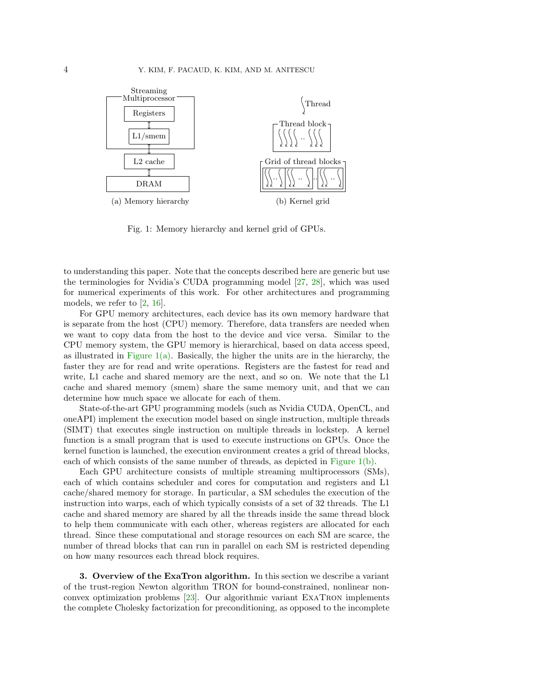<span id="page-3-0"></span>

Fig. 1: Memory hierarchy and kernel grid of GPUs.

to understanding this paper. Note that the concepts described here are generic but use the terminologies for Nvidia's CUDA programming model [\[27,](#page-19-12) [28\]](#page-19-13), which was used for numerical experiments of this work. For other architectures and programming models, we refer to [\[2,](#page-18-14) [16\]](#page-18-15).

For GPU memory architectures, each device has its own memory hardware that is separate from the host (CPU) memory. Therefore, data transfers are needed when we want to copy data from the host to the device and vice versa. Similar to the CPU memory system, the GPU memory is hierarchical, based on data access speed, as illustrated in [Figure 1\(a\).](#page-3-0) Basically, the higher the units are in the hierarchy, the faster they are for read and write operations. Registers are the fastest for read and write, L1 cache and shared memory are the next, and so on. We note that the L1 cache and shared memory (smem) share the same memory unit, and that we can determine how much space we allocate for each of them.

State-of-the-art GPU programming models (such as Nvidia CUDA, OpenCL, and oneAPI) implement the execution model based on single instruction, multiple threads (SIMT) that executes single instruction on multiple threads in lockstep. A kernel function is a small program that is used to execute instructions on GPUs. Once the kernel function is launched, the execution environment creates a grid of thread blocks, each of which consists of the same number of threads, as depicted in Figure  $1(b)$ .

Each GPU architecture consists of multiple streaming multiprocessors (SMs), each of which contains scheduler and cores for computation and registers and L1 cache/shared memory for storage. In particular, a SM schedules the execution of the instruction into warps, each of which typically consists of a set of 32 threads. The L1 cache and shared memory are shared by all the threads inside the same thread block to help them communicate with each other, whereas registers are allocated for each thread. Since these computational and storage resources on each SM are scarce, the number of thread blocks that can run in parallel on each SM is restricted depending on how many resources each thread block requires.

3. Overview of the ExaTron algorithm. In this section we describe a variant of the trust-region Newton algorithm TRON for bound-constrained, nonlinear nonconvex optimization problems [\[23\]](#page-19-14). Our algorithmic variant ExaTron implements the complete Cholesky factorization for preconditioning, as opposed to the incomplete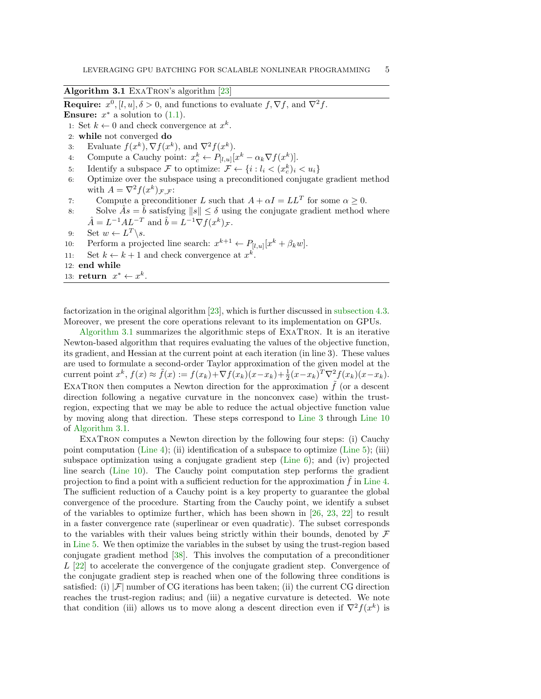<span id="page-4-0"></span>Algorithm 3.1 ExaTron's algorithm [\[23\]](#page-19-14)

**Require:**  $x^0$ ,  $[l, u]$ ,  $\delta > 0$ , and functions to evaluate  $f$ ,  $\nabla f$ , and  $\nabla^2 f$ .

**Ensure:**  $x^*$  a solution to  $(1.1)$ .

1: Set  $k \leftarrow 0$  and check convergence at  $x^k$ .

- 2: while not converged do
- <span id="page-4-4"></span><span id="page-4-3"></span><span id="page-4-1"></span>3: Evaluate  $f(x^k)$ ,  $\nabla f(x^k)$ , and  $\nabla^2 f(x^k)$ .
- 4: Compute a Cauchy point:  $x_c^k \leftarrow P_{[l,u]}[x^k \alpha_k \nabla f(x^k)].$
- <span id="page-4-5"></span>5: Identify a subspace F to optimize:  $\mathcal{F} \leftarrow \{i : l_i < (x_c^k)_i < u_i\}$
- 6: Optimize over the subspace using a preconditioned conjugate gradient method with  $A = \nabla^2 f(x^k)_{\mathcal{F},\mathcal{F}}$ :
- <span id="page-4-6"></span>7: Compute a preconditioner L such that  $A + \alpha I = LL^T$  for some  $\alpha \geq 0$ .
- 8: Solve  $\hat{A}s = \hat{b}$  satisfying  $||s|| \leq \delta$  using the conjugate gradient method where  $\hat{A} = L^{-1}AL^{-T}$  and  $\hat{b} = L^{-1}\nabla f(x^k)_{\mathcal{F}}$ .
- <span id="page-4-2"></span>9: Set  $w \leftarrow L^T \backslash s$ .
- 10: Perform a projected line search:  $x^{k+1} \leftarrow P_{[l,u]}[x^k + \beta_k w].$
- 11: Set  $k \leftarrow k+1$  and check convergence at  $x^k$ .

12: end while

13: return  $x^* \leftarrow x^k$ .

factorization in the original algorithm [\[23\]](#page-19-14), which is further discussed in [subsection 4.3.](#page-7-0) Moreover, we present the core operations relevant to its implementation on GPUs.

[Algorithm 3.1](#page-4-0) summarizes the algorithmic steps of ExaTron. It is an iterative Newton-based algorithm that requires evaluating the values of the objective function, its gradient, and Hessian at the current point at each iteration (in line 3). These values are used to formulate a second-order Taylor approximation of the given model at the current point  $x^k$ ,  $f(x) \approx \tilde{f}(x) := f(x_k) + \nabla f(x_k)(x - x_k) + \frac{1}{2}(x - x_k)^T \nabla^2 f(x_k)(x - x_k)$ . EXATRON then computes a Newton direction for the approximation  $\tilde{f}$  (or a descent direction following a negative curvature in the nonconvex case) within the trustregion, expecting that we may be able to reduce the actual objective function value by moving along that direction. These steps correspond to [Line 3](#page-4-1) through [Line 10](#page-4-2) of [Algorithm 3.1.](#page-4-0)

ExaTron computes a Newton direction by the following four steps: (i) Cauchy point computation [\(Line 4\)](#page-4-3); (ii) identification of a subspace to optimize [\(Line 5\)](#page-4-4); (iii) subspace optimization using a conjugate gradient step [\(Line 6\)](#page-4-5); and (iv) projected line search [\(Line 10\)](#page-4-2). The Cauchy point computation step performs the gradient projection to find a point with a sufficient reduction for the approximation  $f$  in [Line 4.](#page-4-3) The sufficient reduction of a Cauchy point is a key property to guarantee the global convergence of the procedure. Starting from the Cauchy point, we identify a subset of the variables to optimize further, which has been shown in  $[26, 23, 22]$  $[26, 23, 22]$  $[26, 23, 22]$  $[26, 23, 22]$  $[26, 23, 22]$  to result in a faster convergence rate (superlinear or even quadratic). The subset corresponds to the variables with their values being strictly within their bounds, denoted by  $\mathcal F$ in [Line 5.](#page-4-4) We then optimize the variables in the subset by using the trust-region based conjugate gradient method [\[38\]](#page-19-16). This involves the computation of a preconditioner L [\[22\]](#page-19-15) to accelerate the convergence of the conjugate gradient step. Convergence of the conjugate gradient step is reached when one of the following three conditions is satisfied: (i)  $|\mathcal{F}|$  number of CG iterations has been taken; (ii) the current CG direction reaches the trust-region radius; and (iii) a negative curvature is detected. We note that condition (iii) allows us to move along a descent direction even if  $\nabla^2 f(x^k)$  is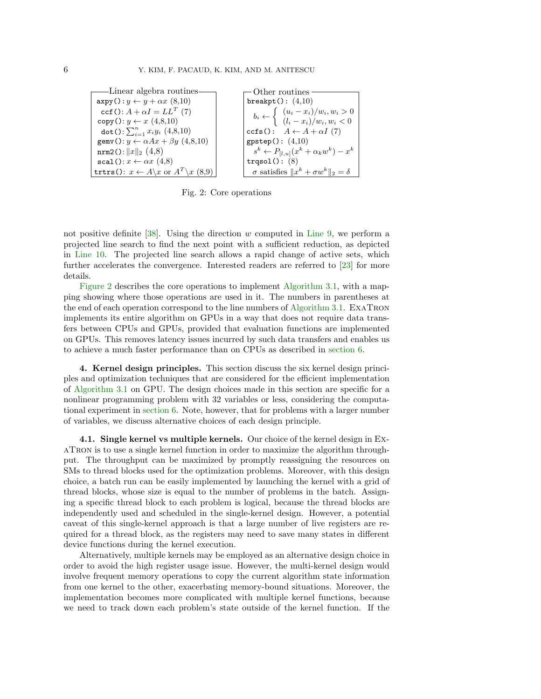<span id="page-5-1"></span>Linear algebra routines  $\exp(y): y \leftarrow y + \alpha x \ (8, 10)$  $\texttt{ccf}()$  :  $A+\alpha I = LL^T$  (7) copy():  $y \leftarrow x$  (4,8,10) dot():  $\sum_{i=1}^{n} x_i y_i (4, 8, 10)$ gemv():  $y \leftarrow \alpha Ax + \beta y$  (4,8,10) nrm2():  $||x||_2$  (4,8)  $scal(): x \leftarrow \alpha x (4,8)$ trtrs():  $x \leftarrow A \setminus x$  or  $A^T \setminus x$  (8,9) Other routines breakpt $()$ :  $(4,10)$  $b_i \leftarrow$  $\int (u_i - x_i)/w_i, w_i > 0$  $(l_i - x_i)/w_i, w_i < 0$ ccfs():  $A \leftarrow A + \alpha I$  (7)  $g$ pstep $()$ :  $(4,10)$  $s^k \leftarrow P_{[l,u]}(x^k + \alpha_k w^k) - x^k$ trqsol(): (8)  $\sigma$  satisfies  $||x^k + \sigma w^k||_2 = \delta$ 

Fig. 2: Core operations

not positive definite  $[38]$ . Using the direction w computed in [Line 9,](#page-4-6) we perform a projected line search to find the next point with a sufficient reduction, as depicted in [Line 10.](#page-4-2) The projected line search allows a rapid change of active sets, which further accelerates the convergence. Interested readers are referred to [\[23\]](#page-19-14) for more details.

[Figure 2](#page-5-1) describes the core operations to implement [Algorithm 3.1,](#page-4-0) with a mapping showing where those operations are used in it. The numbers in parentheses at the end of each operation correspond to the line numbers of [Algorithm 3.1.](#page-4-0) ExaTron implements its entire algorithm on GPUs in a way that does not require data transfers between CPUs and GPUs, provided that evaluation functions are implemented on GPUs. This removes latency issues incurred by such data transfers and enables us to achieve a much faster performance than on CPUs as described in [section 6.](#page-11-0)

<span id="page-5-0"></span>4. Kernel design principles. This section discuss the six kernel design principles and optimization techniques that are considered for the efficient implementation of [Algorithm 3.1](#page-4-0) on GPU. The design choices made in this section are specific for a nonlinear programming problem with 32 variables or less, considering the computational experiment in [section 6.](#page-11-0) Note, however, that for problems with a larger number of variables, we discuss alternative choices of each design principle.

4.1. Single kernel vs multiple kernels. Our choice of the kernel design in ExaTron is to use a single kernel function in order to maximize the algorithm throughput. The throughput can be maximized by promptly reassigning the resources on SMs to thread blocks used for the optimization problems. Moreover, with this design choice, a batch run can be easily implemented by launching the kernel with a grid of thread blocks, whose size is equal to the number of problems in the batch. Assigning a specific thread block to each problem is logical, because the thread blocks are independently used and scheduled in the single-kernel design. However, a potential caveat of this single-kernel approach is that a large number of live registers are required for a thread block, as the registers may need to save many states in different device functions during the kernel execution.

Alternatively, multiple kernels may be employed as an alternative design choice in order to avoid the high register usage issue. However, the multi-kernel design would involve frequent memory operations to copy the current algorithm state information from one kernel to the other, exacerbating memory-bound situations. Moreover, the implementation becomes more complicated with multiple kernel functions, because we need to track down each problem's state outside of the kernel function. If the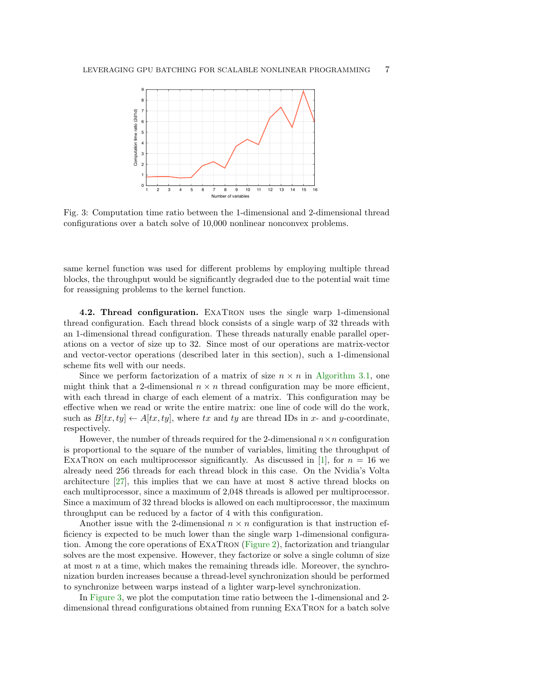<span id="page-6-0"></span>

Fig. 3: Computation time ratio between the 1-dimensional and 2-dimensional thread configurations over a batch solve of 10,000 nonlinear nonconvex problems.

same kernel function was used for different problems by employing multiple thread blocks, the throughput would be significantly degraded due to the potential wait time for reassigning problems to the kernel function.

<span id="page-6-1"></span>4.2. Thread configuration. ExaTron uses the single warp 1-dimensional thread configuration. Each thread block consists of a single warp of 32 threads with an 1-dimensional thread configuration. These threads naturally enable parallel operations on a vector of size up to 32. Since most of our operations are matrix-vector and vector-vector operations (described later in this section), such a 1-dimensional scheme fits well with our needs.

Since we perform factorization of a matrix of size  $n \times n$  in [Algorithm 3.1,](#page-4-0) one might think that a 2-dimensional  $n \times n$  thread configuration may be more efficient, with each thread in charge of each element of a matrix. This configuration may be effective when we read or write the entire matrix: one line of code will do the work, such as  $B[tx, ty] \leftarrow A[tx, ty]$ , where tx and ty are thread IDs in x- and y-coordinate, respectively.

However, the number of threads required for the 2-dimensional  $n \times n$  configuration is proportional to the square of the number of variables, limiting the throughput of EXATRON on each multiprocessor significantly. As discussed in [\[1\]](#page-18-5), for  $n = 16$  we already need 256 threads for each thread block in this case. On the Nvidia's Volta architecture [\[27\]](#page-19-12), this implies that we can have at most 8 active thread blocks on each multiprocessor, since a maximum of 2,048 threads is allowed per multiprocessor. Since a maximum of 32 thread blocks is allowed on each multiprocessor, the maximum throughput can be reduced by a factor of 4 with this configuration.

Another issue with the 2-dimensional  $n \times n$  configuration is that instruction efficiency is expected to be much lower than the single warp 1-dimensional configuration. Among the core operations of ExaTron [\(Figure 2\)](#page-5-1), factorization and triangular solves are the most expensive. However, they factorize or solve a single column of size at most  $n$  at a time, which makes the remaining threads idle. Moreover, the synchronization burden increases because a thread-level synchronization should be performed to synchronize between warps instead of a lighter warp-level synchronization.

In [Figure 3,](#page-6-0) we plot the computation time ratio between the 1-dimensional and 2 dimensional thread configurations obtained from running ExaTron for a batch solve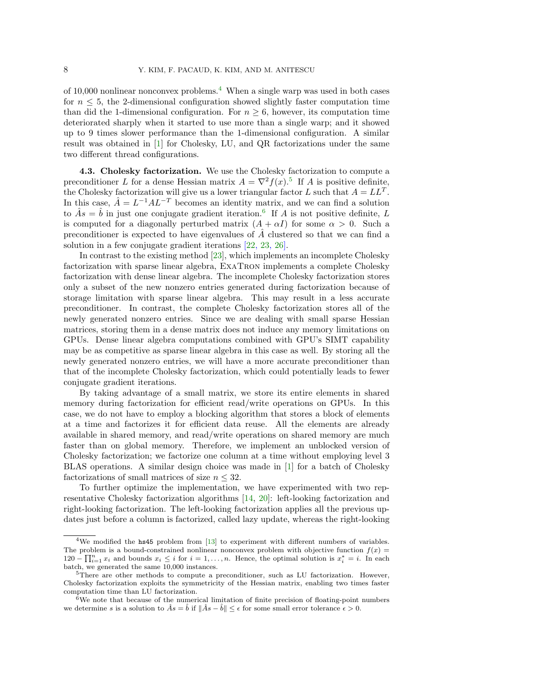of 10,000 nonlinear nonconvex problems.[4](#page-7-1) When a single warp was used in both cases for  $n \leq 5$ , the 2-dimensional configuration showed slightly faster computation time than did the 1-dimensional configuration. For  $n \geq 6$ , however, its computation time deteriorated sharply when it started to use more than a single warp; and it showed up to 9 times slower performance than the 1-dimensional configuration. A similar result was obtained in [\[1\]](#page-18-5) for Cholesky, LU, and QR factorizations under the same two different thread configurations.

<span id="page-7-0"></span>4.3. Cholesky factorization. We use the Cholesky factorization to compute a preconditioner L for a dense Hessian matrix  $A = \nabla^2 f(x)$ .<sup>[5](#page-7-2)</sup> If A is positive definite, the Cholesky factorization will give us a lower triangular factor L such that  $A = LL^T$ . In this case,  $\hat{A} = L^{-1}AL^{-T}$  becomes an identity matrix, and we can find a solution to  $\hat{A}s = \hat{b}$  in just one conjugate gradient iteration.<sup>[6](#page-7-3)</sup> If A is not positive definite, L is computed for a diagonally perturbed matrix  $(A + \alpha I)$  for some  $\alpha > 0$ . Such a preconditioner is expected to have eigenvalues of  $A$  clustered so that we can find a solution in a few conjugate gradient iterations [\[22,](#page-19-15) [23,](#page-19-14) [26\]](#page-19-8).

In contrast to the existing method [\[23\]](#page-19-14), which implements an incomplete Cholesky factorization with sparse linear algebra, ExaTron implements a complete Cholesky factorization with dense linear algebra. The incomplete Cholesky factorization stores only a subset of the new nonzero entries generated during factorization because of storage limitation with sparse linear algebra. This may result in a less accurate preconditioner. In contrast, the complete Cholesky factorization stores all of the newly generated nonzero entries. Since we are dealing with small sparse Hessian matrices, storing them in a dense matrix does not induce any memory limitations on GPUs. Dense linear algebra computations combined with GPU's SIMT capability may be as competitive as sparse linear algebra in this case as well. By storing all the newly generated nonzero entries, we will have a more accurate preconditioner than that of the incomplete Cholesky factorization, which could potentially leads to fewer conjugate gradient iterations.

By taking advantage of a small matrix, we store its entire elements in shared memory during factorization for efficient read/write operations on GPUs. In this case, we do not have to employ a blocking algorithm that stores a block of elements at a time and factorizes it for efficient data reuse. All the elements are already available in shared memory, and read/write operations on shared memory are much faster than on global memory. Therefore, we implement an unblocked version of Cholesky factorization; we factorize one column at a time without employing level 3 BLAS operations. A similar design choice was made in [\[1\]](#page-18-5) for a batch of Cholesky factorizations of small matrices of size  $n \leq 32$ .

To further optimize the implementation, we have experimented with two representative Cholesky factorization algorithms [\[14,](#page-18-6) [20\]](#page-18-7): left-looking factorization and right-looking factorization. The left-looking factorization applies all the previous updates just before a column is factorized, called lazy update, whereas the right-looking

<span id="page-7-1"></span><sup>&</sup>lt;sup>4</sup>We modified the  $\text{hs45}$  problem from [\[13\]](#page-18-16) to experiment with different numbers of variables. The problem is a bound-constrained nonlinear nonconvex problem with objective function  $f(x)$  $120 - \prod_{i=1}^{n} x_i$  and bounds  $x_i \leq i$  for  $i = 1, ..., n$ . Hence, the optimal solution is  $x_i^* = i$ . In each batch, we generated the same 10,000 instances.

<span id="page-7-2"></span> $5$ There are other methods to compute a preconditioner, such as LU factorization. However, Cholesky factorization exploits the symmetricity of the Hessian matrix, enabling two times faster computation time than LU factorization.

<span id="page-7-3"></span> $6$ We note that because of the numerical limitation of finite precision of floating-point numbers we determine s is a solution to  $\hat{A}s = \hat{b}$  if  $\|\hat{A}s - \hat{b}\| \leq \epsilon$  for some small error tolerance  $\epsilon > 0$ .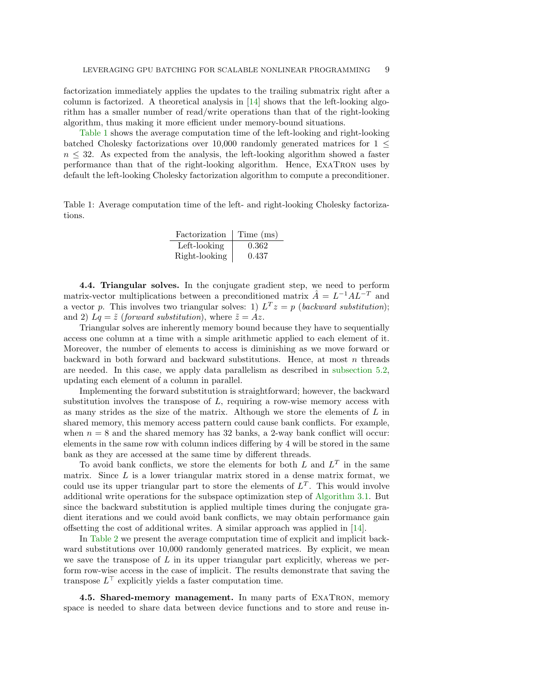factorization immediately applies the updates to the trailing submatrix right after a column is factorized. A theoretical analysis in [\[14\]](#page-18-6) shows that the left-looking algorithm has a smaller number of read/write operations than that of the right-looking algorithm, thus making it more efficient under memory-bound situations.

[Table 1](#page-8-0) shows the average computation time of the left-looking and right-looking batched Cholesky factorizations over 10,000 randomly generated matrices for  $1 \leq$  $n \leq 32$ . As expected from the analysis, the left-looking algorithm showed a faster performance than that of the right-looking algorithm. Hence, ExaTron uses by default the left-looking Cholesky factorization algorithm to compute a preconditioner.

<span id="page-8-0"></span>Table 1: Average computation time of the left- and right-looking Cholesky factorizations.

| Factorization | Time (ms) |
|---------------|-----------|
| Left-looking  | 0.362     |
| Right-looking | 0.437     |

4.4. Triangular solves. In the conjugate gradient step, we need to perform matrix-vector multiplications between a preconditioned matrix  $\hat{A} = L^{-1}AL^{-T}$  and a vector p. This involves two triangular solves: 1)  $L^T z = p$  (backward substitution); and 2)  $Lq = \tilde{z}$  (forward substitution), where  $\tilde{z} = Az$ .

Triangular solves are inherently memory bound because they have to sequentially access one column at a time with a simple arithmetic applied to each element of it. Moreover, the number of elements to access is diminishing as we move forward or backward in both forward and backward substitutions. Hence, at most  $n$  threads are needed. In this case, we apply data parallelism as described in [subsection 5.2,](#page-10-0) updating each element of a column in parallel.

Implementing the forward substitution is straightforward; however, the backward substitution involves the transpose of  $L$ , requiring a row-wise memory access with as many strides as the size of the matrix. Although we store the elements of  $L$  in shared memory, this memory access pattern could cause bank conflicts. For example, when  $n = 8$  and the shared memory has 32 banks, a 2-way bank conflict will occur: elements in the same row with column indices differing by 4 will be stored in the same bank as they are accessed at the same time by different threads.

To avoid bank conflicts, we store the elements for both  $L$  and  $L<sup>T</sup>$  in the same matrix. Since  $L$  is a lower triangular matrix stored in a dense matrix format, we could use its upper triangular part to store the elements of  $L^T$ . This would involve additional write operations for the subspace optimization step of [Algorithm 3.1.](#page-4-0) But since the backward substitution is applied multiple times during the conjugate gradient iterations and we could avoid bank conflicts, we may obtain performance gain offsetting the cost of additional writes. A similar approach was applied in [\[14\]](#page-18-6).

In [Table 2](#page-9-0) we present the average computation time of explicit and implicit backward substitutions over 10,000 randomly generated matrices. By explicit, we mean we save the transpose of  $L$  in its upper triangular part explicitly, whereas we perform row-wise access in the case of implicit. The results demonstrate that saving the transpose  $L^{\top}$  explicitly yields a faster computation time.

4.5. Shared-memory management. In many parts of ExaTron, memory space is needed to share data between device functions and to store and reuse in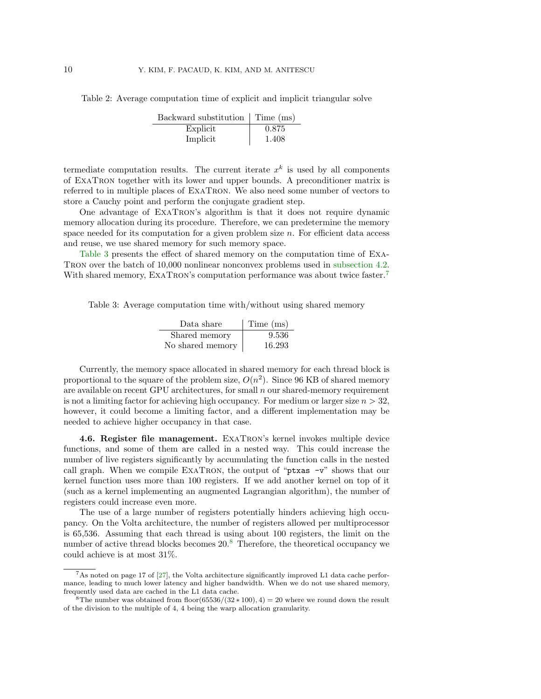<span id="page-9-0"></span>Table 2: Average computation time of explicit and implicit triangular solve

| Backward substitution   Time (ms) |       |
|-----------------------------------|-------|
| Explicit                          | 0.875 |
| Implicit                          | 1.408 |

termediate computation results. The current iterate  $x<sup>k</sup>$  is used by all components of ExaTron together with its lower and upper bounds. A preconditioner matrix is referred to in multiple places of ExaTron. We also need some number of vectors to store a Cauchy point and perform the conjugate gradient step.

One advantage of ExaTron's algorithm is that it does not require dynamic memory allocation during its procedure. Therefore, we can predetermine the memory space needed for its computation for a given problem size  $n$ . For efficient data access and reuse, we use shared memory for such memory space.

[Table 3](#page-9-1) presents the effect of shared memory on the computation time of ExaTron over the batch of 10,000 nonlinear nonconvex problems used in [subsection 4.2.](#page-6-1) With shared memory, EXATRON's computation performance was about twice faster.<sup>[7](#page-9-2)</sup>

<span id="page-9-1"></span>Table 3: Average computation time with/without using shared memory

| Data share       | Time (ms) |
|------------------|-----------|
| Shared memory    | 9.536     |
| No shared memory | 16.293    |

Currently, the memory space allocated in shared memory for each thread block is proportional to the square of the problem size,  $O(n^2)$ . Since 96 KB of shared memory are available on recent GPU architectures, for small n our shared-memory requirement is not a limiting factor for achieving high occupancy. For medium or larger size  $n > 32$ , however, it could become a limiting factor, and a different implementation may be needed to achieve higher occupancy in that case.

4.6. Register file management. ExaTron's kernel invokes multiple device functions, and some of them are called in a nested way. This could increase the number of live registers significantly by accumulating the function calls in the nested call graph. When we compile EXATRON, the output of "ptxas -v" shows that our kernel function uses more than 100 registers. If we add another kernel on top of it (such as a kernel implementing an augmented Lagrangian algorithm), the number of registers could increase even more.

The use of a large number of registers potentially hinders achieving high occupancy. On the Volta architecture, the number of registers allowed per multiprocessor is 65,536. Assuming that each thread is using about 100 registers, the limit on the number of active thread blocks becomes 20.<sup>[8](#page-9-3)</sup> Therefore, the theoretical occupancy we could achieve is at most 31%.

<span id="page-9-2"></span> $7$ As noted on page 17 of [\[27\]](#page-19-12), the Volta architecture significantly improved L1 data cache performance, leading to much lower latency and higher bandwidth. When we do not use shared memory, frequently used data are cached in the L1 data cache.

<span id="page-9-3"></span> $8 \text{The number was obtained from floor}(65536/(32*100), 4) = 20$  where we round down the result of the division to the multiple of 4, 4 being the warp allocation granularity.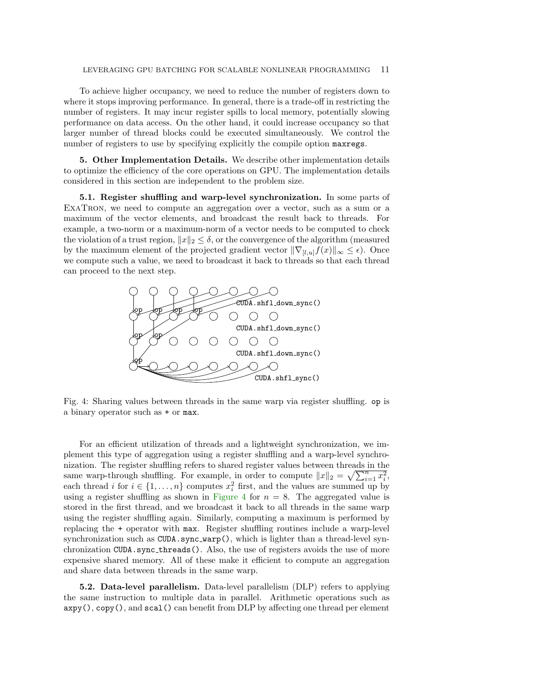To achieve higher occupancy, we need to reduce the number of registers down to where it stops improving performance. In general, there is a trade-off in restricting the number of registers. It may incur register spills to local memory, potentially slowing performance on data access. On the other hand, it could increase occupancy so that larger number of thread blocks could be executed simultaneously. We control the number of registers to use by specifying explicitly the compile option maxregs.

5. Other Implementation Details. We describe other implementation details to optimize the efficiency of the core operations on GPU. The implementation details considered in this section are independent to the problem size.

5.1. Register shuffling and warp-level synchronization. In some parts of ExaTron, we need to compute an aggregation over a vector, such as a sum or a maximum of the vector elements, and broadcast the result back to threads. For example, a two-norm or a maximum-norm of a vector needs to be computed to check the violation of a trust region,  $||x||_2 \leq \delta$ , or the convergence of the algorithm (measured by the maximum element of the projected gradient vector  $\|\nabla_{[l,u]}f(x)\|_{\infty} \leq \epsilon$ . Once we compute such a value, we need to broadcast it back to threads so that each thread can proceed to the next step.

<span id="page-10-1"></span>

Fig. 4: Sharing values between threads in the same warp via register shuffling. op is a binary operator such as + or max.

For an efficient utilization of threads and a lightweight synchronization, we implement this type of aggregation using a register shuffling and a warp-level synchronization. The register shuffling refers to shared register values between threads in the same warp-through shuffling. For example, in order to compute  $||x||_2 = \sqrt{\sum_{i=1}^n x_i^2}$ , each thread *i* for  $i \in \{1, ..., n\}$  computes  $x_i^2$  first, and the values are summed up by using a register shuffling as shown in [Figure 4](#page-10-1) for  $n = 8$ . The aggregated value is stored in the first thread, and we broadcast it back to all threads in the same warp using the register shuffling again. Similarly, computing a maximum is performed by replacing the + operator with max. Register shuffling routines include a warp-level synchronization such as CUDA.sync warp(), which is lighter than a thread-level synchronization CUDA.sync threads(). Also, the use of registers avoids the use of more expensive shared memory. All of these make it efficient to compute an aggregation and share data between threads in the same warp.

<span id="page-10-0"></span>5.2. Data-level parallelism. Data-level parallelism (DLP) refers to applying the same instruction to multiple data in parallel. Arithmetic operations such as  $\exp(0, \text{copy}())$ , and  $\text{scal}(0)$  can benefit from DLP by affecting one thread per element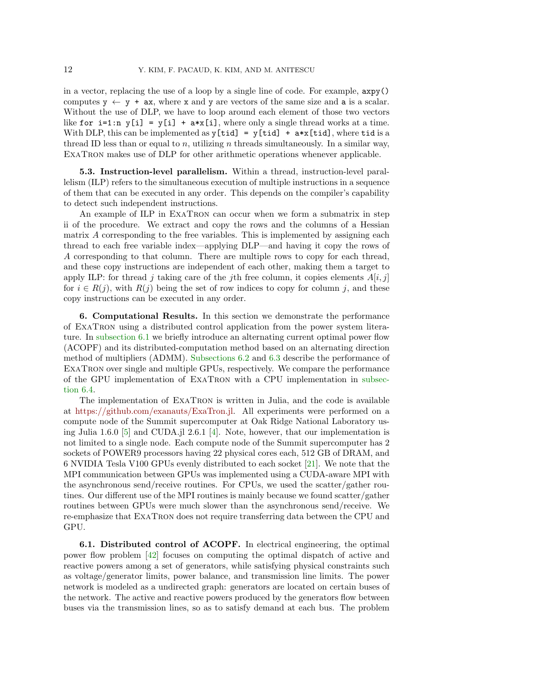in a vector, replacing the use of a loop by a single line of code. For example, axpy() computes  $y \leftarrow y + ax$ , where x and y are vectors of the same size and a is a scalar. Without the use of DLP, we have to loop around each element of those two vectors like for  $i=1:n$   $y[i] = y[i] + a*x[i]$ , where only a single thread works at a time. With DLP, this can be implemented as  $y[tid] = y[tid] + a*x[tid]$ , where tid is a thread ID less than or equal to n, utilizing n threads simultaneously. In a similar way, ExaTron makes use of DLP for other arithmetic operations whenever applicable.

5.3. Instruction-level parallelism. Within a thread, instruction-level parallelism (ILP) refers to the simultaneous execution of multiple instructions in a sequence of them that can be executed in any order. This depends on the compiler's capability to detect such independent instructions.

An example of ILP in ExaTron can occur when we form a submatrix in step ii of the procedure. We extract and copy the rows and the columns of a Hessian matrix A corresponding to the free variables. This is implemented by assigning each thread to each free variable index—applying DLP—and having it copy the rows of A corresponding to that column. There are multiple rows to copy for each thread, and these copy instructions are independent of each other, making them a target to apply ILP: for thread j taking care of the jth free column, it copies elements  $A[i, j]$ for  $i \in R(j)$ , with  $R(j)$  being the set of row indices to copy for column j, and these copy instructions can be executed in any order.

<span id="page-11-0"></span>6. Computational Results. In this section we demonstrate the performance of ExaTron using a distributed control application from the power system literature. In [subsection 6.1](#page-11-1) we briefly introduce an alternating current optimal power flow (ACOPF) and its distributed-computation method based on an alternating direction method of multipliers (ADMM). [Subsections 6.2](#page-13-0) and [6.3](#page-14-0) describe the performance of ExaTron over single and multiple GPUs, respectively. We compare the performance of the GPU implementation of ExaTron with a CPU implementation in [subsec](#page-16-0)[tion 6.4.](#page-16-0)

The implementation of ExaTron is written in Julia, and the code is available at [https://github.com/exanauts/ExaTron.jl.](https://github.com/exanauts/ExaTron.jl) All experiments were performed on a compute node of the Summit supercomputer at Oak Ridge National Laboratory us-ing Julia 1.6.0 [\[5\]](#page-18-17) and CUDA.jl 2.6.1 [\[4\]](#page-18-13). Note, however, that our implementation is not limited to a single node. Each compute node of the Summit supercomputer has 2 sockets of POWER9 processors having 22 physical cores each, 512 GB of DRAM, and 6 NVIDIA Tesla V100 GPUs evenly distributed to each socket [\[21\]](#page-19-17). We note that the MPI communication between GPUs was implemented using a CUDA-aware MPI with the asynchronous send/receive routines. For CPUs, we used the scatter/gather routines. Our different use of the MPI routines is mainly because we found scatter/gather routines between GPUs were much slower than the asynchronous send/receive. We re-emphasize that ExaTron does not require transferring data between the CPU and GPU.

<span id="page-11-1"></span>6.1. Distributed control of ACOPF. In electrical engineering, the optimal power flow problem [\[42\]](#page-20-3) focuses on computing the optimal dispatch of active and reactive powers among a set of generators, while satisfying physical constraints such as voltage/generator limits, power balance, and transmission line limits. The power network is modeled as a undirected graph: generators are located on certain buses of the network. The active and reactive powers produced by the generators flow between buses via the transmission lines, so as to satisfy demand at each bus. The problem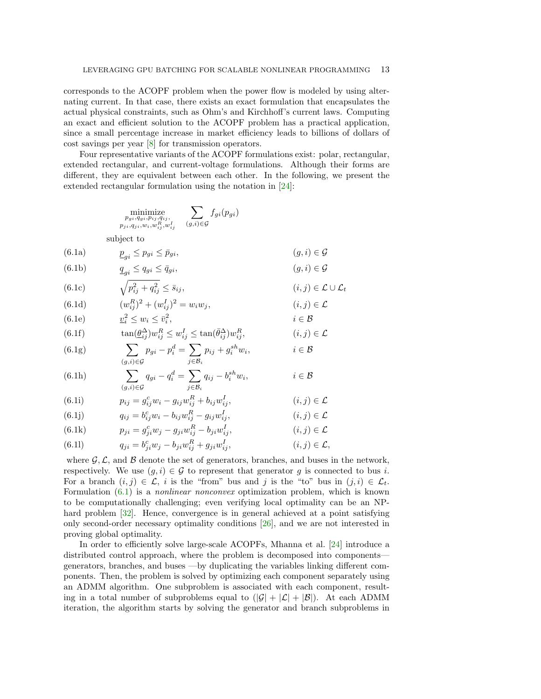corresponds to the ACOPF problem when the power flow is modeled by using alternating current. In that case, there exists an exact formulation that encapsulates the actual physical constraints, such as Ohm's and Kirchhoff's current laws. Computing an exact and efficient solution to the ACOPF problem has a practical application, since a small percentage increase in market efficiency leads to billions of dollars of cost savings per year [\[8\]](#page-18-18) for transmission operators.

Four representative variants of the ACOPF formulations exist: polar, rectangular, extended rectangular, and current-voltage formulations. Although their forms are different, they are equivalent between each other. In the following, we present the extended rectangular formulation using the notation in [\[24\]](#page-19-18):

|        | $\sum f_{gi}(p_{gi})$<br>minimize<br>$p_{gi}, q_{gi}, p_{ij}, q_{ij},$<br>$(g,i) \in \mathcal{G}$<br>$p_{ji}, q_{ji}, w_i, w_{ij}^R, w_{ij}^I$ |                                             |
|--------|------------------------------------------------------------------------------------------------------------------------------------------------|---------------------------------------------|
|        | subject to                                                                                                                                     |                                             |
| (6.1a) | $\underline{p}_{qi} \leq p_{gi} \leq \overline{p}_{gi},$                                                                                       | $(g, i) \in \mathcal{G}$                    |
| (6.1b) | $\underline{q}_{ai} \leq q_{gi} \leq \overline{q}_{gi},$                                                                                       | $(g, i) \in \mathcal{G}$                    |
| (6.1c) | $\sqrt{p_{ij}^2 + q_{ij}^2} \leq \bar{s}_{ij},$                                                                                                | $(i, j) \in \mathcal{L} \cup \mathcal{L}_t$ |
| (6.1d) | $(w_{ii}^R)^2 + (w_{ii}^I)^2 = w_i w_j,$                                                                                                       | $(i, j) \in \mathcal{L}$                    |
| (6.1e) | $v_i^2 \leq w_i \leq \bar{v}_i^2$ ,                                                                                                            | $i \in \mathcal{B}$                         |
| (6.1f) | $\tan(\underline{\theta}_{ii}^{\Delta})w_{ii}^R \leq w_{ii}^I \leq \tan(\overline{\theta}_{ii}^{\Delta})w_{ii}^R$                              | $(i, j) \in \mathcal{L}$                    |
| (6.1g) | $\sum_{i} p_{gi} - p_i^d = \sum_{i} p_{ij} + g_i^{sh} w_i,$<br>$(q,i) \in \mathcal{G}$<br>$i \in \mathcal{B}_i$                                | $i \in \mathcal{B}$                         |
| (6.1h) | $\sum_{i} q_{qi} - q_i^d = \sum_{i} q_{ij} - b_i^{sh} w_i,$<br>$(g,i) \in \mathcal{G}$<br>$i \in \mathcal{B}_i$                                | $i \in \mathcal{B}$                         |
| (6.1i) | $p_{ij} = g_{ij}^c w_i - g_{ij} w_{ij}^R + b_{ij} w_{ij}^I,$                                                                                   | $(i, j) \in \mathcal{L}$                    |
| (6.1j) | $q_{ij} = b_{ij}^c w_i - b_{ij} w_{ij}^R - g_{ij} w_{ij}^I,$                                                                                   | $(i, j) \in \mathcal{L}$                    |
| (6.1k) | $p_{ji} = g_{ji}^c w_j - g_{ji} w_{ij}^R - b_{ji} w_{ij}^I,$                                                                                   | $(i, j) \in \mathcal{L}$                    |

<span id="page-12-1"></span><span id="page-12-0"></span>(6.11) 
$$
q_{ji} = b_{ji}^c w_j - b_{ji} w_{ij}^R + g_{ji} w_{ij}^I, \qquad (i, j) \in \mathcal{L},
$$

where  $\mathcal{G}, \mathcal{L}$ , and  $\mathcal{B}$  denote the set of generators, branches, and buses in the network, respectively. We use  $(g, i) \in \mathcal{G}$  to represent that generator g is connected to bus i. For a branch  $(i, j) \in \mathcal{L}$ , i is the "from" bus and j is the "to" bus in  $(j, i) \in \mathcal{L}_t$ . Formulation  $(6.1)$  is a *nonlinear nonconvex* optimization problem, which is known to be computationally challenging; even verifying local optimality can be an NP-hard problem [\[32\]](#page-19-19). Hence, convergence is in general achieved at a point satisfying only second-order necessary optimality conditions [\[26\]](#page-19-8), and we are not interested in proving global optimality.

In order to efficiently solve large-scale ACOPFs, Mhanna et al. [\[24\]](#page-19-18) introduce a distributed control approach, where the problem is decomposed into components generators, branches, and buses —by duplicating the variables linking different components. Then, the problem is solved by optimizing each component separately using an ADMM algorithm. One subproblem is associated with each component, resulting in a total number of subproblems equal to  $(|\mathcal{G}| + |\mathcal{L}| + |\mathcal{B}|)$ . At each ADMM iteration, the algorithm starts by solving the generator and branch subproblems in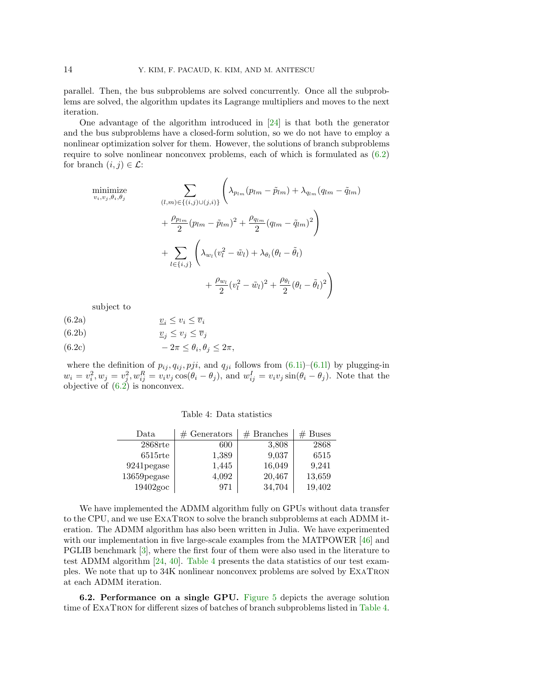parallel. Then, the bus subproblems are solved concurrently. Once all the subproblems are solved, the algorithm updates its Lagrange multipliers and moves to the next iteration.

One advantage of the algorithm introduced in [\[24\]](#page-19-18) is that both the generator and the bus subproblems have a closed-form solution, so we do not have to employ a nonlinear optimization solver for them. However, the solutions of branch subproblems require to solve nonlinear nonconvex problems, each of which is formulated as [\(6.2\)](#page-13-1) for branch  $(i, j) \in \mathcal{L}$ :

minimize  
\n
$$
\sum_{v_i, v_j, \theta_i, \theta_j} \left( \lambda_{p_{lm}} (p_{lm} - \tilde{p}_{lm}) + \lambda_{q_{lm}} (q_{lm} - \tilde{q}_{lm}) + \frac{\rho_{p_{lm}}}{2} (p_{lm} - \tilde{p}_{lm})^2 + \frac{\rho_{q_{lm}}}{2} (q_{lm} - \tilde{q}_{lm})^2 \right)
$$
\n
$$
+ \sum_{l \in \{i, j\}} \left( \lambda_{w_l} (v_l^2 - \tilde{w}_l) + \lambda_{\theta_l} (\theta_l - \tilde{\theta}_l) + \frac{\rho_{w_l}}{2} (v_l^2 - \tilde{w}_l)^2 + \frac{\rho_{\theta_l}}{2} (\theta_l - \tilde{\theta}_l)^2 \right)
$$

subject to

- (6.2a)  $\underline{v}_i \leq v_i \leq \overline{v}_i$
- (6.2b)  $\underline{v}_j \le \overline{v}_j$
- <span id="page-13-1"></span> $(6.2c)$  ,  $-2\pi \leq \theta_i, \theta_j \leq 2\pi$ ,

<span id="page-13-2"></span>where the definition of  $p_{ij}, q_{ij}, pji$ , and  $q_{ji}$  follows from [\(6.1i\)](#page-12-1)–[\(6.1l\)](#page-12-0) by plugging-in  $w_i = v_i^2, w_j = v_j^2, w_{ij}^R = v_i v_j \cos(\theta_i - \theta_j)$ , and  $w_{ij}^I = v_i v_j \sin(\theta_i - \theta_j)$ . Note that the objective of  $(6.2)$  is nonconvex.

| Table 4: Data statistics |  |
|--------------------------|--|
|--------------------------|--|

| Data         | $#$ Generators | $#$ Branches | $#$ Buses |
|--------------|----------------|--------------|-----------|
| $2868$ rte   | 600            | 3,808        | 2868      |
| $6515$ rte   | 1,389          | 9,037        | 6515      |
| 9241 pegase  | 1,445          | 16,049       | 9,241     |
| 13659 pegase | 4,092          | 20,467       | 13,659    |
| $19402$ goc  | 971            | 34,704       | 19,402    |

We have implemented the ADMM algorithm fully on GPUs without data transfer to the CPU, and we use ExaTron to solve the branch subproblems at each ADMM iteration. The ADMM algorithm has also been written in Julia. We have experimented with our implementation in five large-scale examples from the MATPOWER [\[46\]](#page-20-4) and PGLIB benchmark [\[3\]](#page-18-19), where the first four of them were also used in the literature to test ADMM algorithm [\[24,](#page-19-18) [40\]](#page-19-10). [Table 4](#page-13-2) presents the data statistics of our test examples. We note that up to 34K nonlinear nonconvex problems are solved by ExaTron at each ADMM iteration.

<span id="page-13-0"></span>6.2. Performance on a single GPU. [Figure 5](#page-14-1) depicts the average solution time of ExaTron for different sizes of batches of branch subproblems listed in [Table 4.](#page-13-2)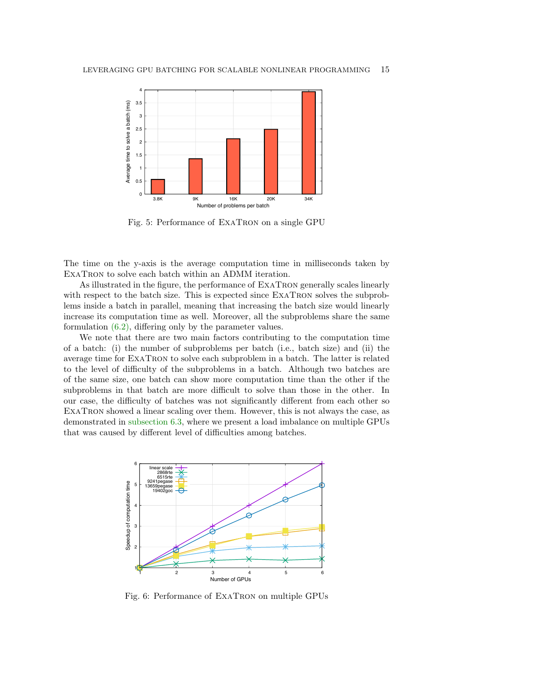<span id="page-14-1"></span>

Fig. 5: Performance of ExaTron on a single GPU

The time on the y-axis is the average computation time in milliseconds taken by EXATRON to solve each batch within an ADMM iteration.

As illustrated in the figure, the performance of ExaTron generally scales linearly with respect to the batch size. This is expected since ExaTron solves the subproblems inside a batch in parallel, meaning that increasing the batch size would linearly increase its computation time as well. Moreover, all the subproblems share the same formulation [\(6.2\),](#page-13-1) differing only by the parameter values.

We note that there are two main factors contributing to the computation time of a batch: (i) the number of subproblems per batch (i.e., batch size) and (ii) the average time for ExaTron to solve each subproblem in a batch. The latter is related to the level of difficulty of the subproblems in a batch. Although two batches are of the same size, one batch can show more computation time than the other if the subproblems in that batch are more difficult to solve than those in the other. In our case, the difficulty of batches was not significantly different from each other so ExaTron showed a linear scaling over them. However, this is not always the case, as demonstrated in [subsection 6.3,](#page-14-0) where we present a load imbalance on multiple GPUs that was caused by different level of difficulties among batches.

<span id="page-14-2"></span><span id="page-14-0"></span>

Fig. 6: Performance of ExaTron on multiple GPUs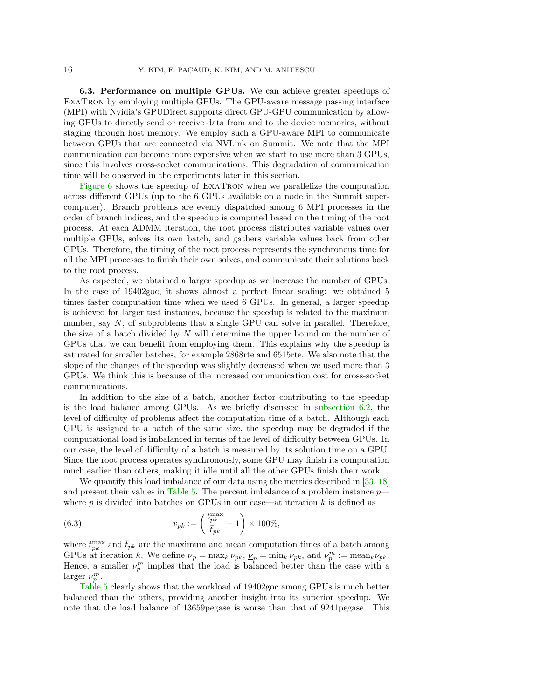6.3. Performance on multiple GPUs. We can achieve greater speedups of ExaTron by employing multiple GPUs. The GPU-aware message passing interface (MPI) with Nvidia's GPUDirect supports direct GPU-GPU communication by allowing GPUs to directly send or receive data from and to the device memories, without staging through host memory. We employ such a GPU-aware MPI to communicate between GPUs that are connected via NVLink on Summit. We note that the MPI communication can become more expensive when we start to use more than 3 GPUs, since this involves cross-socket communications. This degradation of communication time will be observed in the experiments later in this section.

[Figure 6](#page-14-2) shows the speedup of ExaTron when we parallelize the computation across different GPUs (up to the 6 GPUs available on a node in the Summit supercomputer). Branch problems are evenly dispatched among 6 MPI processes in the order of branch indices, and the speedup is computed based on the timing of the root process. At each ADMM iteration, the root process distributes variable values over multiple GPUs, solves its own batch, and gathers variable values back from other GPUs. Therefore, the timing of the root process represents the synchronous time for all the MPI processes to finish their own solves, and communicate their solutions back to the root process.

As expected, we obtained a larger speedup as we increase the number of GPUs. In the case of 19402goc, it shows almost a perfect linear scaling: we obtained 5 times faster computation time when we used 6 GPUs. In general, a larger speedup is achieved for larger test instances, because the speedup is related to the maximum number, say  $N$ , of subproblems that a single GPU can solve in parallel. Therefore, the size of a batch divided by  $N$  will determine the upper bound on the number of GPUs that we can benefit from employing them. This explains why the speedup is saturated for smaller batches, for example 2868rte and 6515rte. We also note that the slope of the changes of the speedup was slightly decreased when we used more than 3 GPUs. We think this is because of the increased communication cost for cross-socket communications.

In addition to the size of a batch, another factor contributing to the speedup is the load balance among GPUs. As we briefly discussed in [subsection 6.2,](#page-13-0) the level of difficulty of problems affect the computation time of a batch. Although each GPU is assigned to a batch of the same size, the speedup may be degraded if the computational load is imbalanced in terms of the level of difficulty between GPUs. In our case, the level of difficulty of a batch is measured by its solution time on a GPU. Since the root process operates synchronously, some GPU may finish its computation much earlier than others, making it idle until all the other GPUs finish their work.

We quantify this load imbalance of our data using the metrics described in [\[33,](#page-19-20) [18\]](#page-18-3) and present their values in [Table 5.](#page-16-1) The percent imbalance of a problem instance  $p$ where  $p$  is divided into batches on GPUs in our case—at iteration k is defined as

(6.3) 
$$
v_{pk} := \left(\frac{t_{pk}^{\max}}{\overline{t}_{pk}} - 1\right) \times 100\%,
$$

where  $t_{pk}^{\text{max}}$  and  $\bar{t}_{pk}$  are the maximum and mean computation times of a batch among GPUs at iteration k. We define  $\overline{\nu}_p = \max_k \nu_{pk}, \underline{\nu}_p = \min_k \nu_{pk}$ , and  $\nu_p^m := \max_k \nu_{pk}$ . Hence, a smaller  $\nu_p^m$  implies that the load is balanced better than the case with a larger  $\nu_p^m$ .

[Table 5](#page-16-1) clearly shows that the workload of 19402goc among GPUs is much better balanced than the others, providing another insight into its superior speedup. We note that the load balance of 13659pegase is worse than that of 9241pegase. This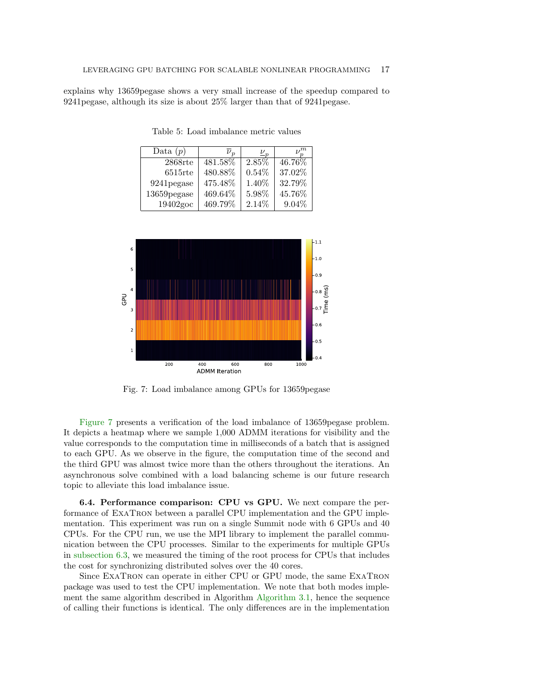<span id="page-16-1"></span>explains why 13659pegase shows a very small increase of the speedup compared to 9241pegase, although its size is about 25% larger than that of 9241pegase.

Table 5: Load imbalance metric values

| Data $(p)$  | $\overline{\nu}_n$ | $\frac{\nu}{2}$ | $\nu^m$ |
|-------------|--------------------|-----------------|---------|
| $2868$ rte  | 481.58%            | 2.85%           | 46.76%  |
| $6515$ rte  | 480.88%            | 0.54%           | 37.02%  |
| 9241 pegase | 475.48%            | 1.40%           | 32.79%  |
| 13659pegase | 469.64%            | 5.98%           | 45.76%  |
| 19402goc    | 469.79%            | 2.14%           | 9.04%   |

<span id="page-16-2"></span>

Fig. 7: Load imbalance among GPUs for 13659pegase

[Figure 7](#page-16-2) presents a verification of the load imbalance of 13659pegase problem. It depicts a heatmap where we sample 1,000 ADMM iterations for visibility and the value corresponds to the computation time in milliseconds of a batch that is assigned to each GPU. As we observe in the figure, the computation time of the second and the third GPU was almost twice more than the others throughout the iterations. An asynchronous solve combined with a load balancing scheme is our future research topic to alleviate this load imbalance issue.

<span id="page-16-0"></span>6.4. Performance comparison: CPU vs GPU. We next compare the performance of ExaTron between a parallel CPU implementation and the GPU implementation. This experiment was run on a single Summit node with 6 GPUs and 40 CPUs. For the CPU run, we use the MPI library to implement the parallel communication between the CPU processes. Similar to the experiments for multiple GPUs in [subsection 6.3,](#page-14-0) we measured the timing of the root process for CPUs that includes the cost for synchronizing distributed solves over the 40 cores.

Since ExaTron can operate in either CPU or GPU mode, the same ExaTron package was used to test the CPU implementation. We note that both modes implement the same algorithm described in Algorithm [Algorithm 3.1,](#page-4-0) hence the sequence of calling their functions is identical. The only differences are in the implementation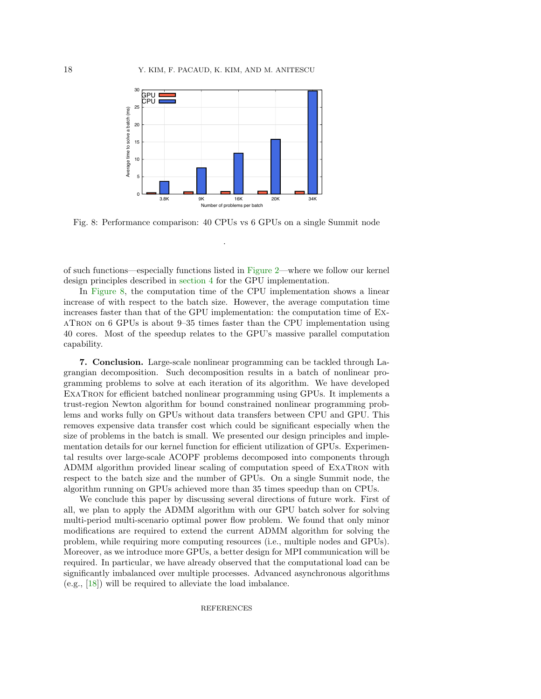<span id="page-17-0"></span>

Fig. 8: Performance comparison: 40 CPUs vs 6 GPUs on a single Summit node

.

of such functions—especially functions listed in [Figure 2—](#page-5-1)where we follow our kernel design principles described in [section 4](#page-5-0) for the GPU implementation.

In [Figure 8,](#page-17-0) the computation time of the CPU implementation shows a linear increase of with respect to the batch size. However, the average computation time increases faster than that of the GPU implementation: the computation time of ExaTron on 6 GPUs is about 9–35 times faster than the CPU implementation using 40 cores. Most of the speedup relates to the GPU's massive parallel computation capability.

7. Conclusion. Large-scale nonlinear programming can be tackled through Lagrangian decomposition. Such decomposition results in a batch of nonlinear programming problems to solve at each iteration of its algorithm. We have developed ExaTron for efficient batched nonlinear programming using GPUs. It implements a trust-region Newton algorithm for bound constrained nonlinear programming problems and works fully on GPUs without data transfers between CPU and GPU. This removes expensive data transfer cost which could be significant especially when the size of problems in the batch is small. We presented our design principles and implementation details for our kernel function for efficient utilization of GPUs. Experimental results over large-scale ACOPF problems decomposed into components through ADMM algorithm provided linear scaling of computation speed of ExaTron with respect to the batch size and the number of GPUs. On a single Summit node, the algorithm running on GPUs achieved more than 35 times speedup than on CPUs.

We conclude this paper by discussing several directions of future work. First of all, we plan to apply the ADMM algorithm with our GPU batch solver for solving multi-period multi-scenario optimal power flow problem. We found that only minor modifications are required to extend the current ADMM algorithm for solving the problem, while requiring more computing resources (i.e., multiple nodes and GPUs). Moreover, as we introduce more GPUs, a better design for MPI communication will be required. In particular, we have already observed that the computational load can be significantly imbalanced over multiple processes. Advanced asynchronous algorithms (e.g., [\[18\]](#page-18-3)) will be required to alleviate the load imbalance.

REFERENCES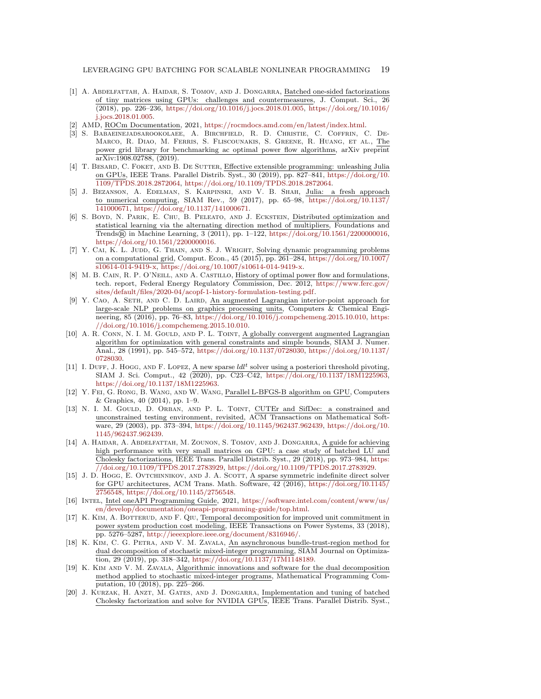- <span id="page-18-5"></span>[1] A. ABDELFATTAH, A. HAIDAR, S. TOMOV, AND J. DONGARRA, Batched one-sided factorizations of tiny matrices using GPUs: challenges and countermeasures, J. Comput. Sci., 26 (2018), pp. 226–236, [https://doi.org/10.1016/j.jocs.2018.01.005,](https://doi.org/10.1016/j.jocs.2018.01.005) [https://doi.org/10.1016/](https://doi.org/10.1016/j.jocs.2018.01.005) [j.jocs.2018.01.005.](https://doi.org/10.1016/j.jocs.2018.01.005)
- <span id="page-18-14"></span>[2] AMD, ROCm Documentation, 2021, [https://rocmdocs.amd.com/en/latest/index.html.](https://rocmdocs.amd.com/en/latest/index.html)
- <span id="page-18-19"></span>[3] S. Babaeinejadsarookolaee, A. Birchfield, R. D. Christie, C. Coffrin, C. De-Marco, R. Diao, M. Ferris, S. Fliscounakis, S. Greene, R. Huang, et al., The power grid library for benchmarking ac optimal power flow algorithms, arXiv preprint arXiv:1908.02788, (2019).
- <span id="page-18-13"></span>[4] T. BESARD, C. FOKET, AND B. DE SUTTER, Effective extensible programming: unleashing Julia on GPUs, IEEE Trans. Parallel Distrib. Syst., 30 (2019), pp. 827–841, [https://doi.org/10.](https://doi.org/10.1109/TPDS.2018.2872064) [1109/TPDS.2018.2872064,](https://doi.org/10.1109/TPDS.2018.2872064) [https://doi.org/10.1109/TPDS.2018.2872064.](https://doi.org/10.1109/TPDS.2018.2872064)
- <span id="page-18-17"></span>[5] J. Bezanson, A. Edelman, S. Karpinski, and V. B. Shah, Julia: a fresh approach to numerical computing, SIAM Rev., 59 (2017), pp. 65–98, [https://doi.org/10.1137/](https://doi.org/10.1137/141000671) [141000671,](https://doi.org/10.1137/141000671) [https://doi.org/10.1137/141000671.](https://doi.org/10.1137/141000671)
- <span id="page-18-0"></span>[6] S. Boyd, N. Parik, E. Chu, B. Peleato, and J. Eckstein, Distributed optimization and statistical learning via the alternating direction method of multipliers, Foundations and Trends® in Machine Learning, 3 (2011), pp. 1–122, [https://doi.org/10.1561/2200000016,](https://doi.org/10.1561/2200000016) [https://doi.org/10.1561/2200000016.](https://doi.org/10.1561/2200000016)
- <span id="page-18-1"></span>[7] Y. CAI, K. L. JUDD, G. THAIN, AND S. J. WRIGHT, Solving dynamic programming problems on a computational grid, Comput. Econ.,  $45$  (2015), pp. 261–284, [https://doi.org/10.1007/](https://doi.org/10.1007/s10614-014-9419-x) [s10614-014-9419-x,](https://doi.org/10.1007/s10614-014-9419-x) [https://doi.org/10.1007/s10614-014-9419-x.](https://doi.org/10.1007/s10614-014-9419-x)
- <span id="page-18-18"></span>[8] M. B. Cain, R. P. O'Neill, and A. Castillo, History of optimal power flow and formulations, tech. report, Federal Energy Regulatory Commission, Dec. 2012, [https://www.ferc.gov/](https://www.ferc.gov/sites/default/files/2020-04/acopf-1-history-formulation-testing.pdf) [sites/default/files/2020-04/acopf-1-history-formulation-testing.pdf.](https://www.ferc.gov/sites/default/files/2020-04/acopf-1-history-formulation-testing.pdf)
- <span id="page-18-8"></span>[9] Y. CAO, A. SETH, AND C. D. LAIRD, An augmented Lagrangian interior-point approach for large-scale NLP problems on graphics processing units, Computers & Chemical Engineering, 85 (2016), pp. 76–83, [https://doi.org/10.1016/j.compchemeng.2015.10.010,](https://doi.org/10.1016/j.compchemeng.2015.10.010) [https:](https://doi.org/10.1016/j.compchemeng.2015.10.010) [//doi.org/10.1016/j.compchemeng.2015.10.010.](https://doi.org/10.1016/j.compchemeng.2015.10.010)
- <span id="page-18-12"></span>[10] A. R. CONN, N. I. M. GOULD, AND P. L. TOINT, A globally convergent augmented Lagrangian algorithm for optimization with general constraints and simple bounds, SIAM J. Numer. Anal., 28 (1991), pp. 545–572, [https://doi.org/10.1137/0728030,](https://doi.org/10.1137/0728030) [https://doi.org/10.1137/](https://doi.org/10.1137/0728030) [0728030.](https://doi.org/10.1137/0728030)
- <span id="page-18-10"></span>[11] I. DUFF, J. HOGG, AND F. LOPEZ, A new sparse  $l d l^t$  solver using a posteriori threshold pivoting, SIAM J. Sci. Comput., 42 (2020), pp. C23–C42, [https://doi.org/10.1137/18M1225963,](https://doi.org/10.1137/18M1225963) [https://doi.org/10.1137/18M1225963.](https://doi.org/10.1137/18M1225963)
- <span id="page-18-9"></span>[12] Y. Fei, G. Rong, B. Wang, and W. Wang, Parallel L-BFGS-B algorithm on GPU, Computers & Graphics, 40 (2014), pp. 1–9.
- <span id="page-18-16"></span>[13] N. I. M. GOULD, D. ORBAN, AND P. L. TOINT, CUTEr and SifDec: a constrained and unconstrained testing environment, revisited, ACM Transactions on Mathematical Software, 29 (2003), pp. 373–394, [https://doi.org/10.1145/962437.962439,](https://doi.org/10.1145/962437.962439) [https://doi.org/10.](https://doi.org/10.1145/962437.962439) [1145/962437.962439.](https://doi.org/10.1145/962437.962439)
- <span id="page-18-6"></span>[14] A. HAIDAR, A. ABDELFATTAH, M. ZOUNON, S. TOMOV, AND J. DONGARRA, A guide for achieving high performance with very small matrices on GPU: a case study of batched LU and Cholesky factorizations, IEEE Trans. Parallel Distrib. Syst., 29 (2018), pp. 973–984, [https:](https://doi.org/10.1109/TPDS.2017.2783929) [//doi.org/10.1109/TPDS.2017.2783929,](https://doi.org/10.1109/TPDS.2017.2783929) [https://doi.org/10.1109/TPDS.2017.2783929.](https://doi.org/10.1109/TPDS.2017.2783929)
- <span id="page-18-11"></span>[15] J. D. Hogg, E. Ovtchinnikov, and J. A. Scott, A sparse symmetric indefinite direct solver for GPU architectures, ACM Trans. Math. Software, 42 (2016), [https://doi.org/10.1145/](https://doi.org/10.1145/2756548) [2756548,](https://doi.org/10.1145/2756548) [https://doi.org/10.1145/2756548.](https://doi.org/10.1145/2756548)
- <span id="page-18-15"></span>[16] Intel, Intel oneAPI Programming Guide, 2021, [https://software.intel.com/content/www/us/](https://software.intel.com/content/www/us/en/develop/documentation/oneapi-programming-guide/top.html) [en/develop/documentation/oneapi-programming-guide/top.html.](https://software.intel.com/content/www/us/en/develop/documentation/oneapi-programming-guide/top.html)
- <span id="page-18-4"></span>[17] K. KIM, A. BOTTERUD, AND F. QIU, Temporal decomposition for improved unit commitment in power system production cost modeling, IEEE Transactions on Power Systems, 33 (2018), pp. 5276–5287, [http://ieeexplore.ieee.org/document/8316946/.](http://ieeexplore.ieee.org/document/8316946/)
- <span id="page-18-3"></span>[18] K. Kim, C. G. Petra, and V. M. Zavala, An asynchronous bundle-trust-region method for dual decomposition of stochastic mixed-integer programming, SIAM Journal on Optimization, 29 (2019), pp. 318–342, [https://doi.org/10.1137/17M1148189.](https://doi.org/10.1137/17M1148189)
- <span id="page-18-2"></span>[19] K. Kim and V. M. Zavala, Algorithmic innovations and software for the dual decomposition method applied to stochastic mixed-integer programs, Mathematical Programming Computation, 10 (2018), pp. 225–266.
- <span id="page-18-7"></span>[20] J. KURZAK, H. ANZT, M. GATES, AND J. DONGARRA, Implementation and tuning of batched Cholesky factorization and solve for NVIDIA GPUs, IEEE Trans. Parallel Distrib. Syst.,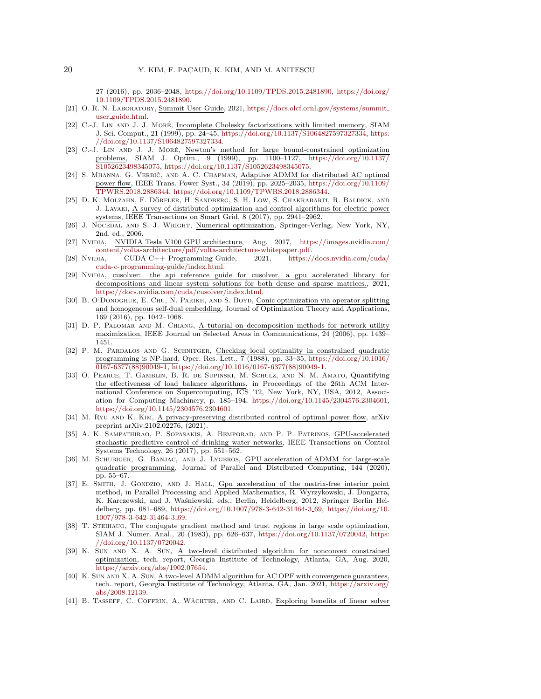27 (2016), pp. 2036–2048, [https://doi.org/10.1109/TPDS.2015.2481890,](https://doi.org/10.1109/TPDS.2015.2481890) [https://doi.org/](https://doi.org/10.1109/TPDS.2015.2481890) [10.1109/TPDS.2015.2481890.](https://doi.org/10.1109/TPDS.2015.2481890)

- <span id="page-19-17"></span>[21] O. R. N. Laboratory, Summit User Guide, 2021, [https://docs.olcf.ornl.gov/systems/summit](https://docs.olcf.ornl.gov/systems/summit_user_guide.html) user [guide.html.](https://docs.olcf.ornl.gov/systems/summit_user_guide.html)
- <span id="page-19-15"></span>[22] C.-J. LIN AND J. J. MORÉ, Incomplete Cholesky factorizations with limited memory, SIAM J. Sci. Comput., 21 (1999), pp. 24–45, [https://doi.org/10.1137/S1064827597327334,](https://doi.org/10.1137/S1064827597327334) [https:](https://doi.org/10.1137/S1064827597327334) [//doi.org/10.1137/S1064827597327334.](https://doi.org/10.1137/S1064827597327334)
- <span id="page-19-14"></span>[23] C.-J. LIN AND J. J. MORÉ, Newton's method for large bound-constrained optimization problems, SIAM J. Optim., 9 (1999), pp. 1100–1127, [https://doi.org/10.1137/](https://doi.org/10.1137/S1052623498345075) [S1052623498345075,](https://doi.org/10.1137/S1052623498345075) [https://doi.org/10.1137/S1052623498345075.](https://doi.org/10.1137/S1052623498345075)
- <span id="page-19-18"></span>[24] S. MHANNA, G. VERBIČ, AND A. C. CHAPMAN, Adaptive ADMM for distributed AC optimal power flow, IEEE Trans. Power Syst., 34 (2019), pp. 2025–2035, [https://doi.org/10.1109/](https://doi.org/10.1109/TPWRS.2018.2886344) [TPWRS.2018.2886344,](https://doi.org/10.1109/TPWRS.2018.2886344) [https://doi.org/10.1109/TPWRS.2018.2886344.](https://doi.org/10.1109/TPWRS.2018.2886344)
- <span id="page-19-1"></span>[25] D. K. Molzahn, F. Dorfler, H. Sandberg, S. H. Low, S. Chakrabarti, R. Baldick, and ¨ J. Lavaei, A survey of distributed optimization and control algorithms for electric power systems, IEEE Transactions on Smart Grid, 8 (2017), pp. 2941–2962.
- <span id="page-19-8"></span>[26] J. NOCEDAL AND S. J. WRIGHT, Numerical optimization, Springer-Verlag, New York, NY, 2nd. ed., 2006.
- <span id="page-19-12"></span>[27] Nvidia, NVIDIA Tesla V100 GPU architecture, Aug. 2017, [https://images.nvidia.com/](https://images.nvidia.com/content/volta-architecture/pdf/volta-architecture-whitepaper.pdf) [content/volta-architecture/pdf/volta-architecture-whitepaper.pdf.](https://images.nvidia.com/content/volta-architecture/pdf/volta-architecture-whitepaper.pdf)
- <span id="page-19-13"></span>[28] Nvidia, CUDA C++ Programming Guide, 2021, [https://docs.nvidia.com/cuda/](https://docs.nvidia.com/cuda/cuda-c-programming-guide/index.html) [cuda-c-programming-guide/index.html.](https://docs.nvidia.com/cuda/cuda-c-programming-guide/index.html)
- <span id="page-19-7"></span>[29] NVIDIA, cusolver: the api reference guide for cusolver, a gpu accelerated library for decompositions and linear system solutions for both dense and sparse matrices., 2021, [https://docs.nvidia.com/cuda/cusolver/index.html.](https://docs.nvidia.com/cuda/cusolver/index.html)
- <span id="page-19-3"></span>[30] B. O'DONOGHUE, E. CHU, N. PARIKH, AND S. BOYD, Conic optimization via operator splitting and homogeneous self-dual embedding, Journal of Optimization Theory and Applications, 169 (2016), pp. 1042–1068.
- <span id="page-19-0"></span>[31] D. P. Palomar and M. Chiang, A tutorial on decomposition methods for network utility maximization, IEEE Journal on Selected Areas in Communications, 24 (2006), pp. 1439– 1451.
- <span id="page-19-19"></span>[32] P. M. PARDALOS AND G. SCHNITGER, Checking local optimality in constrained quadratic programming is NP-hard, Oper. Res. Lett., 7 (1988), pp. 33–35, [https://doi.org/10.1016/](https://doi.org/10.1016/0167-6377(88)90049-1)  $\frac{1}{0167-6377(88)90049-1, \text{ https://doi.org/10.1016/0167-6377(88)90049-1.}$  $\frac{1}{0167-6377(88)90049-1, \text{ https://doi.org/10.1016/0167-6377(88)90049-1.}$  $\frac{1}{0167-6377(88)90049-1, \text{ https://doi.org/10.1016/0167-6377(88)90049-1.}$  $\frac{1}{0167-6377(88)90049-1, \text{ https://doi.org/10.1016/0167-6377(88)90049-1.}$  $\frac{1}{0167-6377(88)90049-1, \text{ https://doi.org/10.1016/0167-6377(88)90049-1.}$
- <span id="page-19-20"></span>[33] O. Pearce, T. Gamblin, B. R. de Supinski, M. Schulz, and N. M. Amato, Quantifying the effectiveness of load balance algorithms, in Proceedings of the 26th ACM International Conference on Supercomputing, ICS '12, New York, NY, USA, 2012, Association for Computing Machinery, p. 185–194, [https://doi.org/10.1145/2304576.2304601,](https://doi.org/10.1145/2304576.2304601) [https://doi.org/10.1145/2304576.2304601.](https://doi.org/10.1145/2304576.2304601)
- <span id="page-19-9"></span>[34] M. Ryu and K. Kim, A privacy-preserving distributed control of optimal power flow, arXiv preprint arXiv:2102.02276, (2021).
- <span id="page-19-2"></span>[35] A. K. Sampathirao, P. Sopasakis, A. Bemporad, and P. P. Patrinos, GPU-accelerated stochastic predictive control of drinking water networks, IEEE Transactions on Control Systems Technology, 26 (2017), pp. 551–562.
- <span id="page-19-4"></span>[36] M. Schubiger, G. Banjac, and J. Lygeros, GPU acceleration of ADMM for large-scale quadratic programming, Journal of Parallel and Distributed Computing, 144 (2020), pp. 55–67.
- <span id="page-19-5"></span>[37] E. SMITH, J. GONDZIO, AND J. HALL, Gpu acceleration of the matrix-free interior point method, in Parallel Processing and Applied Mathematics, R. Wyrzykowski, J. Dongarra, K. Karczewski, and J. Waśniewski, eds., Berlin, Heidelberg, 2012, Springer Berlin Heidelberg, pp. 681–689, [https://doi.org/10.1007/978-3-642-31464-3](https://doi.org/10.1007/978-3-642-31464-3_69) 69, [https://doi.org/10.](https://doi.org/10.1007/978-3-642-31464-3_69) [1007/978-3-642-31464-3](https://doi.org/10.1007/978-3-642-31464-3_69) 69.
- <span id="page-19-16"></span>[38] T. Steihaug, The conjugate gradient method and trust regions in large scale optimization, SIAM J. Numer. Anal., 20 (1983), pp. 626–637, [https://doi.org/10.1137/0720042,](https://doi.org/10.1137/0720042) [https:](https://doi.org/10.1137/0720042) [//doi.org/10.1137/0720042.](https://doi.org/10.1137/0720042)
- <span id="page-19-11"></span>[39] K. Sun and X. A. Sun, A two-level distributed algorithm for nonconvex constrained optimization, tech. report, Georgia Institute of Technology, Atlanta, GA, Aug. 2020, [https://arxiv.org/abs/1902.07654.](https://arxiv.org/abs/1902.07654)
- <span id="page-19-10"></span>[40] K. Sun AND X. A. Sun, A two-level ADMM algorithm for AC OPF with convergence guarantees, tech. report, Georgia Institute of Technology, Atlanta, GA, Jan. 2021, [https://arxiv.org/](https://arxiv.org/abs/2008.12139) [abs/2008.12139.](https://arxiv.org/abs/2008.12139)
- <span id="page-19-6"></span>[41] B. TASSEFF, C. COFFRIN, A. WÄCHTER, AND C. LAIRD, Exploring benefits of linear solver